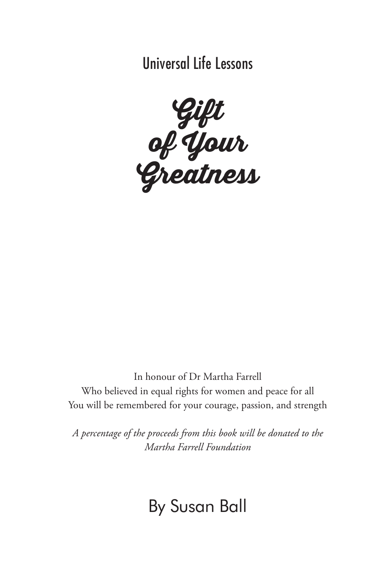Universal Life Lessons



In honour of Dr Martha Farrell Who believed in equal rights for women and peace for all You will be remembered for your courage, passion, and strength

*A percentage of the proceeds from this book will be donated to the Martha Farrell Foundation*

# By Susan Ball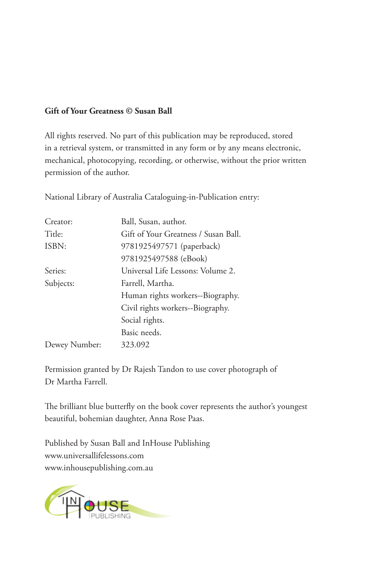#### **Gift of Your Greatness © Susan Ball**

All rights reserved. No part of this publication may be reproduced, stored in a retrieval system, or transmitted in any form or by any means electronic, mechanical, photocopying, recording, or otherwise, without the prior written permission of the author.

| Creator:      | Ball, Susan, author.                 |
|---------------|--------------------------------------|
| Title:        | Gift of Your Greatness / Susan Ball. |
| ISBN:         | 9781925497571 (paperback)            |
|               | 9781925497588 (eBook)                |
| Series:       | Universal Life Lessons: Volume 2.    |
| Subjects:     | Farrell, Martha.                     |
|               | Human rights workers--Biography.     |
|               | Civil rights workers--Biography.     |
|               | Social rights.                       |
|               | Basic needs.                         |
| Dewey Number: | 323.092                              |

National Library of Australia Cataloguing-in-Publication entry:

Permission granted by Dr Rajesh Tandon to use cover photograph of Dr Martha Farrell.

The brilliant blue butterfly on the book cover represents the author's youngest beautiful, bohemian daughter, Anna Rose Paas.

Published by Susan Ball and InHouse Publishing www.universallifelessons.com www.inhousepublishing.com.au

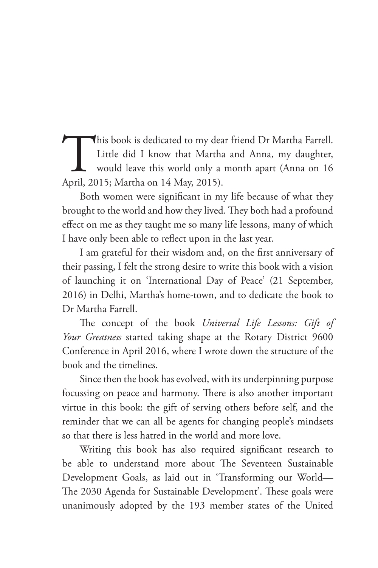This book is dedicated to my dear friend Dr Martha Farrell.<br>Little did I know that Martha and Anna, my daughter,<br>would leave this world only a month apart (Anna on 16<br>April, 2015; Martha on 14 May, 2015). Little did I know that Martha and Anna, my daughter, would leave this world only a month apart (Anna on 16 April, 2015; Martha on 14 May, 2015).

Both women were significant in my life because of what they brought to the world and how they lived. They both had a profound effect on me as they taught me so many life lessons, many of which I have only been able to reflect upon in the last year.

I am grateful for their wisdom and, on the first anniversary of their passing, I felt the strong desire to write this book with a vision of launching it on 'International Day of Peace' (21 September, 2016) in Delhi, Martha's home-town, and to dedicate the book to Dr Martha Farrell.

The concept of the book *Universal Life Lessons: Gift of Your Greatness* started taking shape at the Rotary District 9600 Conference in April 2016, where I wrote down the structure of the book and the timelines.

Since then the book has evolved, with its underpinning purpose focussing on peace and harmony. There is also another important virtue in this book: the gift of serving others before self, and the reminder that we can all be agents for changing people's mindsets so that there is less hatred in the world and more love.

Writing this book has also required significant research to be able to understand more about The Seventeen Sustainable Development Goals, as laid out in 'Transforming our World— The 2030 Agenda for Sustainable Development'. These goals were unanimously adopted by the 193 member states of the United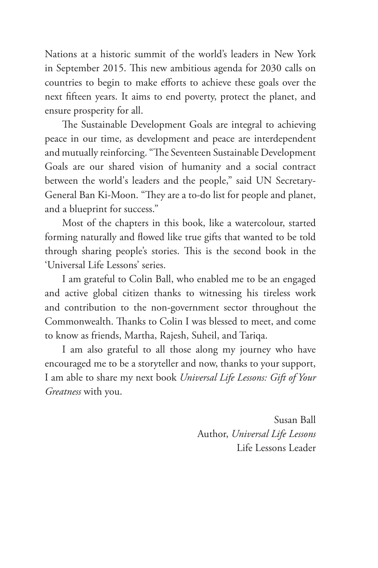Nations at a historic summit of the world's leaders in New York in September 2015. This new ambitious agenda for 2030 calls on countries to begin to make efforts to achieve these goals over the next fifteen years. It aims to end poverty, protect the planet, and ensure prosperity for all.

The Sustainable Development Goals are integral to achieving peace in our time, as development and peace are interdependent and mutually reinforcing. "The Seventeen Sustainable Development Goals are our shared vision of humanity and a social contract between the world's leaders and the people," said UN Secretary-General Ban Ki-Moon. "They are a to-do list for people and planet, and a blueprint for success."

Most of the chapters in this book, like a watercolour, started forming naturally and flowed like true gifts that wanted to be told through sharing people's stories. This is the second book in the 'Universal Life Lessons' series.

I am grateful to Colin Ball, who enabled me to be an engaged and active global citizen thanks to witnessing his tireless work and contribution to the non-government sector throughout the Commonwealth. Thanks to Colin I was blessed to meet, and come to know as friends, Martha, Rajesh, Suheil, and Tariqa.

I am also grateful to all those along my journey who have encouraged me to be a storyteller and now, thanks to your support, I am able to share my next book *Universal Life Lessons: Gift of Your Greatness* with you.

> Susan Ball Author, *Universal Life Lessons* Life Lessons Leader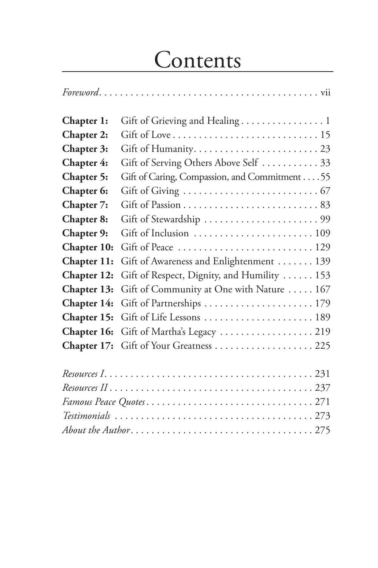# Contents

| Chapter 1:  |                                               |
|-------------|-----------------------------------------------|
| Chapter 2:  |                                               |
| Chapter 3:  |                                               |
| Chapter 4:  | Gift of Serving Others Above Self  33         |
| Chapter 5:  | Gift of Caring, Compassion, and Commitment 55 |
| Chapter 6:  |                                               |
| Chapter 7:  |                                               |
| Chapter 8:  |                                               |
| Chapter 9:  |                                               |
| Chapter 10: | Gift of Peace  129                            |
| Chapter 11: | Gift of Awareness and Enlightenment 139       |
| Chapter 12: | Gift of Respect, Dignity, and Humility  153   |
| Chapter 13: | Gift of Community at One with Nature  167     |
| Chapter 14: |                                               |
| Chapter 15: | Gift of Life Lessons  189                     |
| Chapter 16: | Gift of Martha's Legacy  219                  |
| Chapter 17: |                                               |
|             |                                               |
|             |                                               |
|             |                                               |
|             |                                               |
|             |                                               |

*About the Author*. . 275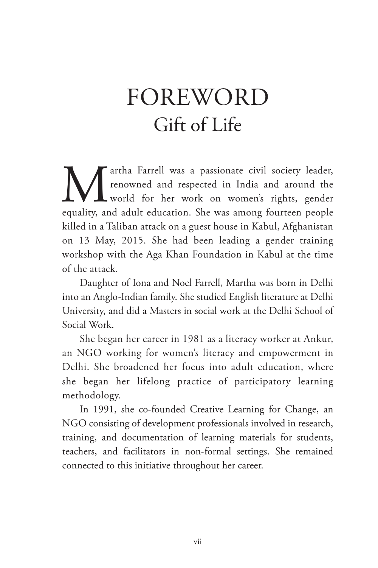# FOREWORD Gift of Life

**Martha Farrell was a passionate civil society leader,** renowned and respected in India and around the world for her work on women's rights, gender equality, and adult education. She was among fourteen people renowned and respected in India and around the world for her work on women's rights, gender equality, and adult education. She was among fourteen people killed in a Taliban attack on a guest house in Kabul, Afghanistan on 13 May, 2015. She had been leading a gender training workshop with the Aga Khan Foundation in Kabul at the time of the attack.

Daughter of Iona and Noel Farrell, Martha was born in Delhi into an Anglo-Indian family. She studied English literature at Delhi University, and did a Masters in social work at the Delhi School of Social Work.

She began her career in 1981 as a literacy worker at Ankur, an NGO working for women's literacy and empowerment in Delhi. She broadened her focus into adult education, where she began her lifelong practice of participatory learning methodology.

In 1991, she co-founded Creative Learning for Change, an NGO consisting of development professionals involved in research, training, and documentation of learning materials for students, teachers, and facilitators in non-formal settings. She remained connected to this initiative throughout her career.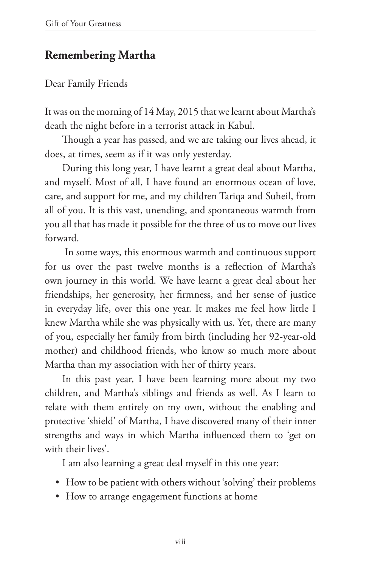# **Remembering Martha**

#### Dear Family Friends

It was on the morning of 14 May, 2015 that we learnt about Martha's death the night before in a terrorist attack in Kabul.

Though a year has passed, and we are taking our lives ahead, it does, at times, seem as if it was only yesterday.

During this long year, I have learnt a great deal about Martha, and myself. Most of all, I have found an enormous ocean of love, care, and support for me, and my children Tariqa and Suheil, from all of you. It is this vast, unending, and spontaneous warmth from you all that has made it possible for the three of us to move our lives forward.

 In some ways, this enormous warmth and continuous support for us over the past twelve months is a reflection of Martha's own journey in this world. We have learnt a great deal about her friendships, her generosity, her firmness, and her sense of justice in everyday life, over this one year. It makes me feel how little I knew Martha while she was physically with us. Yet, there are many of you, especially her family from birth (including her 92-year-old mother) and childhood friends, who know so much more about Martha than my association with her of thirty years.

In this past year, I have been learning more about my two children, and Martha's siblings and friends as well. As I learn to relate with them entirely on my own, without the enabling and protective 'shield' of Martha, I have discovered many of their inner strengths and ways in which Martha influenced them to 'get on with their lives'.

I am also learning a great deal myself in this one year:

- How to be patient with others without 'solving' their problems
- How to arrange engagement functions at home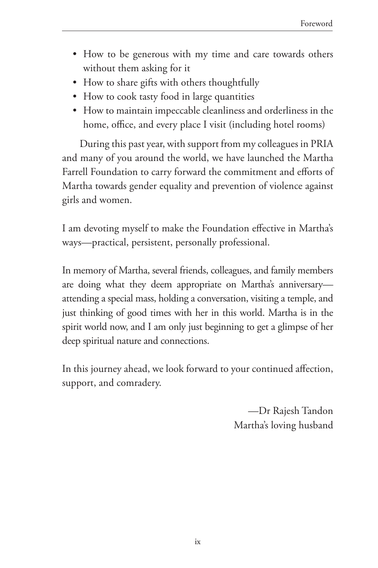- How to be generous with my time and care towards others without them asking for it
- How to share gifts with others thoughtfully
- How to cook tasty food in large quantities
- How to maintain impeccable cleanliness and orderliness in the home, office, and every place I visit (including hotel rooms)

During this past year, with support from my colleagues in PRIA and many of you around the world, we have launched the Martha Farrell Foundation to carry forward the commitment and efforts of Martha towards gender equality and prevention of violence against girls and women.

I am devoting myself to make the Foundation effective in Martha's ways—practical, persistent, personally professional.

In memory of Martha, several friends, colleagues, and family members are doing what they deem appropriate on Martha's anniversary attending a special mass, holding a conversation, visiting a temple, and just thinking of good times with her in this world. Martha is in the spirit world now, and I am only just beginning to get a glimpse of her deep spiritual nature and connections.

In this journey ahead, we look forward to your continued affection, support, and comradery.

> —Dr Rajesh Tandon Martha's loving husband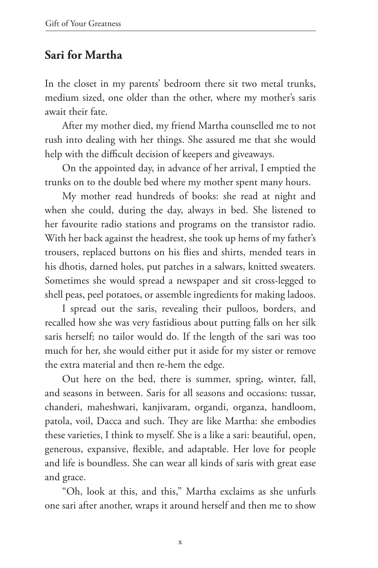# **Sari for Martha**

In the closet in my parents' bedroom there sit two metal trunks, medium sized, one older than the other, where my mother's saris await their fate.

After my mother died, my friend Martha counselled me to not rush into dealing with her things. She assured me that she would help with the difficult decision of keepers and giveaways.

On the appointed day, in advance of her arrival, I emptied the trunks on to the double bed where my mother spent many hours.

My mother read hundreds of books: she read at night and when she could, during the day, always in bed. She listened to her favourite radio stations and programs on the transistor radio. With her back against the headrest, she took up hems of my father's trousers, replaced buttons on his flies and shirts, mended tears in his dhotis, darned holes, put patches in a salwars, knitted sweaters. Sometimes she would spread a newspaper and sit cross-legged to shell peas, peel potatoes, or assemble ingredients for making ladoos.

I spread out the saris, revealing their pulloos, borders, and recalled how she was very fastidious about putting falls on her silk saris herself; no tailor would do. If the length of the sari was too much for her, she would either put it aside for my sister or remove the extra material and then re-hem the edge.

Out here on the bed, there is summer, spring, winter, fall, and seasons in between. Saris for all seasons and occasions: tussar, chanderi, maheshwari, kanjivaram, organdi, organza, handloom, patola, voil, Dacca and such. They are like Martha: she embodies these varieties, I think to myself. She is a like a sari: beautiful, open, generous, expansive, flexible, and adaptable. Her love for people and life is boundless. She can wear all kinds of saris with great ease and grace.

"Oh, look at this, and this," Martha exclaims as she unfurls one sari after another, wraps it around herself and then me to show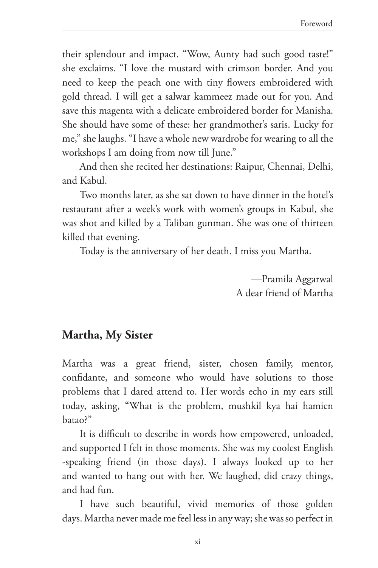their splendour and impact. "Wow, Aunty had such good taste!" she exclaims. "I love the mustard with crimson border. And you need to keep the peach one with tiny flowers embroidered with gold thread. I will get a salwar kammeez made out for you. And save this magenta with a delicate embroidered border for Manisha. She should have some of these: her grandmother's saris. Lucky for me," she laughs. "I have a whole new wardrobe for wearing to all the workshops I am doing from now till June."

And then she recited her destinations: Raipur, Chennai, Delhi, and Kabul.

Two months later, as she sat down to have dinner in the hotel's restaurant after a week's work with women's groups in Kabul, she was shot and killed by a Taliban gunman. She was one of thirteen killed that evening.

Today is the anniversary of her death. I miss you Martha.

—Pramila Aggarwal A dear friend of Martha

### **Martha, My Sister**

Martha was a great friend, sister, chosen family, mentor, confidante, and someone who would have solutions to those problems that I dared attend to. Her words echo in my ears still today, asking, "What is the problem, mushkil kya hai hamien batao?"

It is difficult to describe in words how empowered, unloaded, and supported I felt in those moments. She was my coolest English -speaking friend (in those days). I always looked up to her and wanted to hang out with her. We laughed, did crazy things, and had fun.

I have such beautiful, vivid memories of those golden days. Martha never made me feel less in any way; she was so perfect in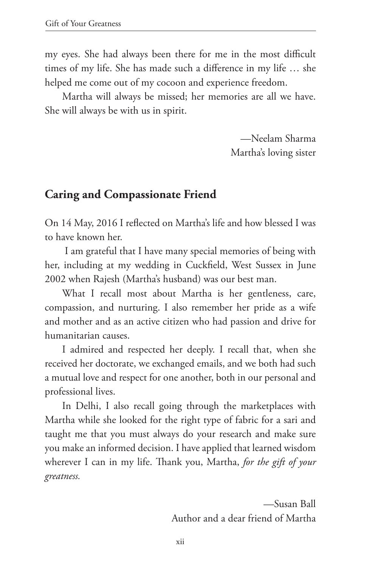my eyes. She had always been there for me in the most difficult times of my life. She has made such a difference in my life … she helped me come out of my cocoon and experience freedom.

Martha will always be missed; her memories are all we have. She will always be with us in spirit.

> —Neelam Sharma Martha's loving sister

### **Caring and Compassionate Friend**

On 14 May, 2016 I reflected on Martha's life and how blessed I was to have known her.

 I am grateful that I have many special memories of being with her, including at my wedding in Cuckfield, West Sussex in June 2002 when Rajesh (Martha's husband) was our best man.

What I recall most about Martha is her gentleness, care, compassion, and nurturing. I also remember her pride as a wife and mother and as an active citizen who had passion and drive for humanitarian causes.

I admired and respected her deeply. I recall that, when she received her doctorate, we exchanged emails, and we both had such a mutual love and respect for one another, both in our personal and professional lives.

In Delhi, I also recall going through the marketplaces with Martha while she looked for the right type of fabric for a sari and taught me that you must always do your research and make sure you make an informed decision. I have applied that learned wisdom wherever I can in my life. Thank you, Martha, *for the gift of your greatness.*

> —Susan Ball Author and a dear friend of Martha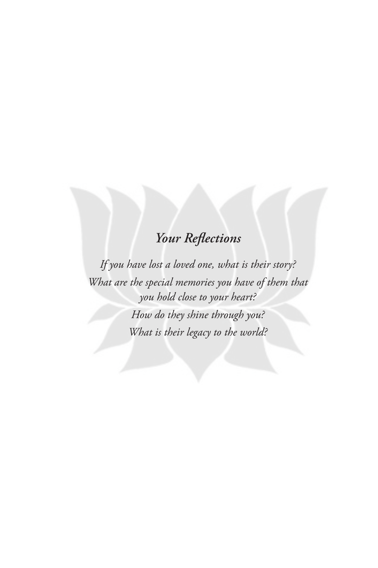# *Your Reflections*

*If you have lost a loved one, what is their story? What are the special memories you have of them that you hold close to your heart? How do they shine through you? What is their legacy to the world?*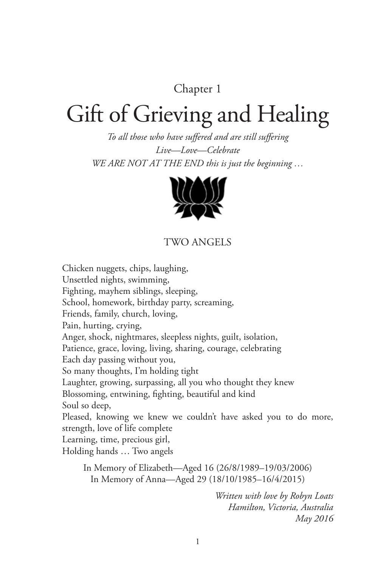### Chapter 1

# Gift of Grieving and Healing

*To all those who have suffered and are still suffering Live—Love—Celebrate WE ARE NOT AT THE END this is just the beginning …*



#### TWO ANGELS

Chicken nuggets, chips, laughing, Unsettled nights, swimming, Fighting, mayhem siblings, sleeping, School, homework, birthday party, screaming, Friends, family, church, loving, Pain, hurting, crying, Anger, shock, nightmares, sleepless nights, guilt, isolation, Patience, grace, loving, living, sharing, courage, celebrating Each day passing without you, So many thoughts, I'm holding tight Laughter, growing, surpassing, all you who thought they knew Blossoming, entwining, fighting, beautiful and kind Soul so deep, Pleased, knowing we knew we couldn't have asked you to do more, strength, love of life complete Learning, time, precious girl, Holding hands … Two angels In Memory of Elizabeth—Aged 16 (26/8/1989–19/03/2006) In Memory of Anna—Aged 29 (18/10/1985–16/4/2015)

> *Written with love by Robyn Loats Hamilton, Victoria, Australia May 2016*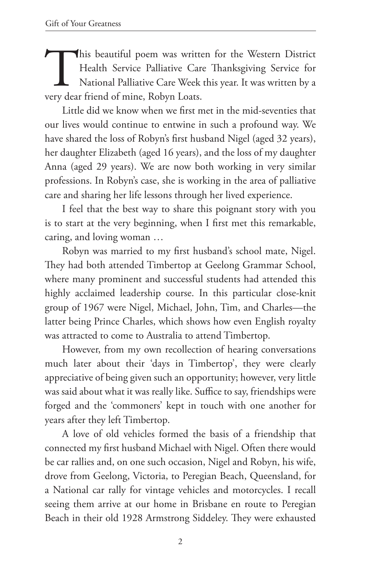This beautiful poem was written for the Western District<br>Health Service Palliative Care Thanksgiving Service for<br>National Palliative Care Week this year. It was written by a<br>very dear friend of mine, Robyn Loats. Health Service Palliative Care Thanksgiving Service for National Palliative Care Week this year. It was written by a very dear friend of mine, Robyn Loats.

Little did we know when we first met in the mid-seventies that our lives would continue to entwine in such a profound way. We have shared the loss of Robyn's first husband Nigel (aged 32 years), her daughter Elizabeth (aged 16 years), and the loss of my daughter Anna (aged 29 years). We are now both working in very similar professions. In Robyn's case, she is working in the area of palliative care and sharing her life lessons through her lived experience.

I feel that the best way to share this poignant story with you is to start at the very beginning, when I first met this remarkable, caring, and loving woman …

Robyn was married to my first husband's school mate, Nigel. They had both attended Timbertop at Geelong Grammar School, where many prominent and successful students had attended this highly acclaimed leadership course. In this particular close-knit group of 1967 were Nigel, Michael, John, Tim, and Charles—the latter being Prince Charles, which shows how even English royalty was attracted to come to Australia to attend Timbertop.

However, from my own recollection of hearing conversations much later about their 'days in Timbertop', they were clearly appreciative of being given such an opportunity; however, very little was said about what it was really like. Suffice to say, friendships were forged and the 'commoners' kept in touch with one another for years after they left Timbertop.

A love of old vehicles formed the basis of a friendship that connected my first husband Michael with Nigel. Often there would be car rallies and, on one such occasion, Nigel and Robyn, his wife, drove from Geelong, Victoria, to Peregian Beach, Queensland, for a National car rally for vintage vehicles and motorcycles. I recall seeing them arrive at our home in Brisbane en route to Peregian Beach in their old 1928 Armstrong Siddeley. They were exhausted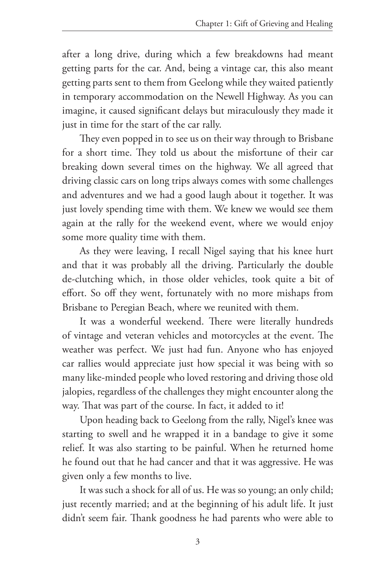after a long drive, during which a few breakdowns had meant getting parts for the car. And, being a vintage car, this also meant getting parts sent to them from Geelong while they waited patiently in temporary accommodation on the Newell Highway. As you can imagine, it caused significant delays but miraculously they made it just in time for the start of the car rally.

They even popped in to see us on their way through to Brisbane for a short time. They told us about the misfortune of their car breaking down several times on the highway. We all agreed that driving classic cars on long trips always comes with some challenges and adventures and we had a good laugh about it together. It was just lovely spending time with them. We knew we would see them again at the rally for the weekend event, where we would enjoy some more quality time with them.

As they were leaving, I recall Nigel saying that his knee hurt and that it was probably all the driving. Particularly the double de-clutching which, in those older vehicles, took quite a bit of effort. So off they went, fortunately with no more mishaps from Brisbane to Peregian Beach, where we reunited with them.

It was a wonderful weekend. There were literally hundreds of vintage and veteran vehicles and motorcycles at the event. The weather was perfect. We just had fun. Anyone who has enjoyed car rallies would appreciate just how special it was being with so many like-minded people who loved restoring and driving those old jalopies, regardless of the challenges they might encounter along the way. That was part of the course. In fact, it added to it!

Upon heading back to Geelong from the rally, Nigel's knee was starting to swell and he wrapped it in a bandage to give it some relief. It was also starting to be painful. When he returned home he found out that he had cancer and that it was aggressive. He was given only a few months to live.

It was such a shock for all of us. He was so young; an only child; just recently married; and at the beginning of his adult life. It just didn't seem fair. Thank goodness he had parents who were able to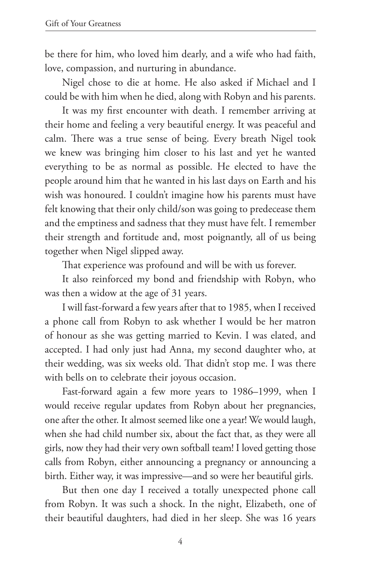be there for him, who loved him dearly, and a wife who had faith, love, compassion, and nurturing in abundance.

Nigel chose to die at home. He also asked if Michael and I could be with him when he died, along with Robyn and his parents.

It was my first encounter with death. I remember arriving at their home and feeling a very beautiful energy. It was peaceful and calm. There was a true sense of being. Every breath Nigel took we knew was bringing him closer to his last and yet he wanted everything to be as normal as possible. He elected to have the people around him that he wanted in his last days on Earth and his wish was honoured. I couldn't imagine how his parents must have felt knowing that their only child/son was going to predecease them and the emptiness and sadness that they must have felt. I remember their strength and fortitude and, most poignantly, all of us being together when Nigel slipped away.

That experience was profound and will be with us forever.

It also reinforced my bond and friendship with Robyn, who was then a widow at the age of 31 years.

I will fast-forward a few years after that to 1985, when I received a phone call from Robyn to ask whether I would be her matron of honour as she was getting married to Kevin. I was elated, and accepted. I had only just had Anna, my second daughter who, at their wedding, was six weeks old. That didn't stop me. I was there with bells on to celebrate their joyous occasion.

Fast-forward again a few more years to 1986–1999, when I would receive regular updates from Robyn about her pregnancies, one after the other. It almost seemed like one a year! We would laugh, when she had child number six, about the fact that, as they were all girls, now they had their very own softball team! I loved getting those calls from Robyn, either announcing a pregnancy or announcing a birth. Either way, it was impressive—and so were her beautiful girls.

But then one day I received a totally unexpected phone call from Robyn. It was such a shock. In the night, Elizabeth, one of their beautiful daughters, had died in her sleep. She was 16 years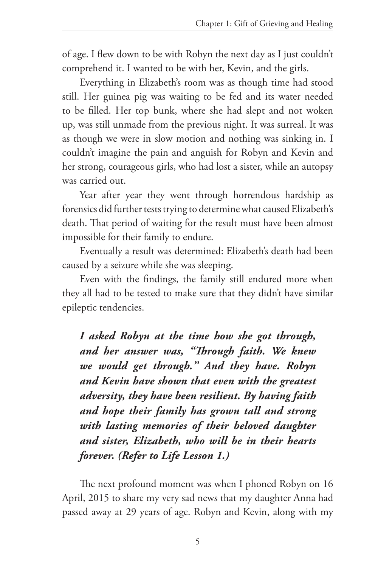of age. I flew down to be with Robyn the next day as I just couldn't comprehend it. I wanted to be with her, Kevin, and the girls.

Everything in Elizabeth's room was as though time had stood still. Her guinea pig was waiting to be fed and its water needed to be filled. Her top bunk, where she had slept and not woken up, was still unmade from the previous night. It was surreal. It was as though we were in slow motion and nothing was sinking in. I couldn't imagine the pain and anguish for Robyn and Kevin and her strong, courageous girls, who had lost a sister, while an autopsy was carried out.

Year after year they went through horrendous hardship as forensics did further tests trying to determine what caused Elizabeth's death. That period of waiting for the result must have been almost impossible for their family to endure.

Eventually a result was determined: Elizabeth's death had been caused by a seizure while she was sleeping.

Even with the findings, the family still endured more when they all had to be tested to make sure that they didn't have similar epileptic tendencies.

*I asked Robyn at the time how she got through, and her answer was, "Through faith. We knew we would get through." And they have. Robyn and Kevin have shown that even with the greatest adversity, they have been resilient. By having faith and hope their family has grown tall and strong with lasting memories of their beloved daughter and sister, Elizabeth, who will be in their hearts forever. (Refer to Life Lesson 1.)*

The next profound moment was when I phoned Robyn on 16 April, 2015 to share my very sad news that my daughter Anna had passed away at 29 years of age. Robyn and Kevin, along with my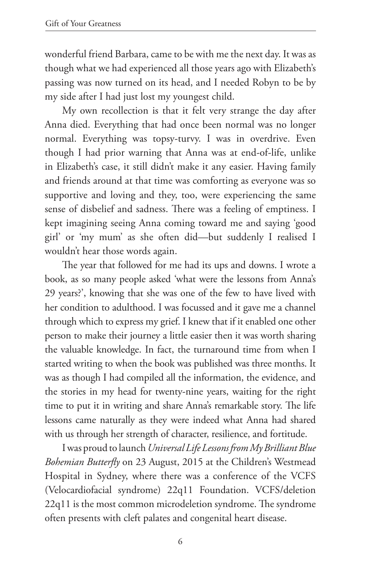wonderful friend Barbara, came to be with me the next day. It was as though what we had experienced all those years ago with Elizabeth's passing was now turned on its head, and I needed Robyn to be by my side after I had just lost my youngest child.

My own recollection is that it felt very strange the day after Anna died. Everything that had once been normal was no longer normal. Everything was topsy-turvy. I was in overdrive. Even though I had prior warning that Anna was at end-of-life, unlike in Elizabeth's case, it still didn't make it any easier. Having family and friends around at that time was comforting as everyone was so supportive and loving and they, too, were experiencing the same sense of disbelief and sadness. There was a feeling of emptiness. I kept imagining seeing Anna coming toward me and saying 'good girl' or 'my mum' as she often did—but suddenly I realised I wouldn't hear those words again.

The year that followed for me had its ups and downs. I wrote a book, as so many people asked 'what were the lessons from Anna's 29 years?', knowing that she was one of the few to have lived with her condition to adulthood. I was focussed and it gave me a channel through which to express my grief. I knew that if it enabled one other person to make their journey a little easier then it was worth sharing the valuable knowledge. In fact, the turnaround time from when I started writing to when the book was published was three months. It was as though I had compiled all the information, the evidence, and the stories in my head for twenty-nine years, waiting for the right time to put it in writing and share Anna's remarkable story. The life lessons came naturally as they were indeed what Anna had shared with us through her strength of character, resilience, and fortitude.

I was proud to launch *Universal Life Lessons from My Brilliant Blue Bohemian Butterfly* on 23 August, 2015 at the Children's Westmead Hospital in Sydney, where there was a conference of the VCFS (Velocardiofacial syndrome) 22q11 Foundation. VCFS/deletion 22q11 is the most common microdeletion syndrome. The syndrome often presents with cleft palates and congenital heart disease.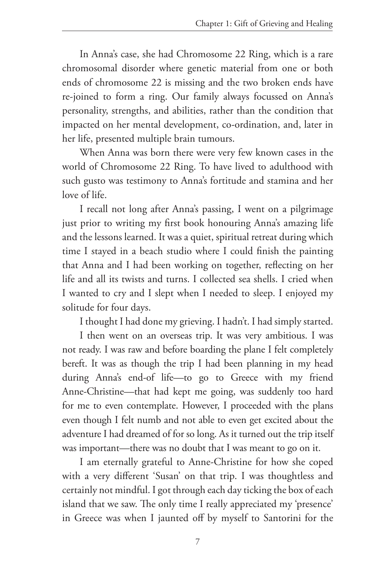In Anna's case, she had Chromosome 22 Ring, which is a rare chromosomal disorder where genetic material from one or both ends of chromosome 22 is missing and the two broken ends have re-joined to form a ring. Our family always focussed on Anna's personality, strengths, and abilities, rather than the condition that impacted on her mental development, co-ordination, and, later in her life, presented multiple brain tumours.

When Anna was born there were very few known cases in the world of Chromosome 22 Ring. To have lived to adulthood with such gusto was testimony to Anna's fortitude and stamina and her love of life.

I recall not long after Anna's passing, I went on a pilgrimage just prior to writing my first book honouring Anna's amazing life and the lessons learned. It was a quiet, spiritual retreat during which time I stayed in a beach studio where I could finish the painting that Anna and I had been working on together, reflecting on her life and all its twists and turns. I collected sea shells. I cried when I wanted to cry and I slept when I needed to sleep. I enjoyed my solitude for four days.

I thought I had done my grieving. I hadn't. I had simply started.

I then went on an overseas trip. It was very ambitious. I was not ready. I was raw and before boarding the plane I felt completely bereft. It was as though the trip I had been planning in my head during Anna's end-of life—to go to Greece with my friend Anne-Christine—that had kept me going, was suddenly too hard for me to even contemplate. However, I proceeded with the plans even though I felt numb and not able to even get excited about the adventure I had dreamed of for so long. As it turned out the trip itself was important—there was no doubt that I was meant to go on it.

I am eternally grateful to Anne-Christine for how she coped with a very different 'Susan' on that trip. I was thoughtless and certainly not mindful. I got through each day ticking the box of each island that we saw. The only time I really appreciated my 'presence' in Greece was when I jaunted off by myself to Santorini for the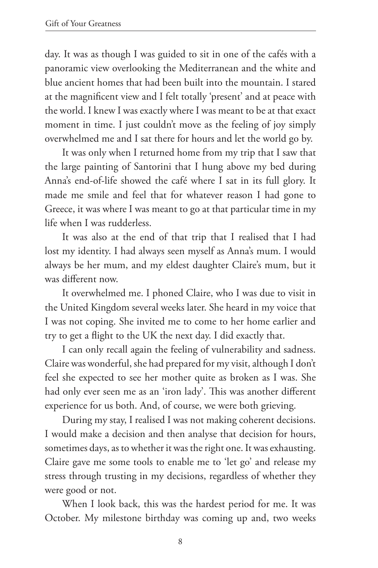day. It was as though I was guided to sit in one of the cafés with a panoramic view overlooking the Mediterranean and the white and blue ancient homes that had been built into the mountain. I stared at the magnificent view and I felt totally 'present' and at peace with the world. I knew I was exactly where I was meant to be at that exact moment in time. I just couldn't move as the feeling of joy simply overwhelmed me and I sat there for hours and let the world go by.

It was only when I returned home from my trip that I saw that the large painting of Santorini that I hung above my bed during Anna's end-of-life showed the café where I sat in its full glory. It made me smile and feel that for whatever reason I had gone to Greece, it was where I was meant to go at that particular time in my life when I was rudderless.

It was also at the end of that trip that I realised that I had lost my identity. I had always seen myself as Anna's mum. I would always be her mum, and my eldest daughter Claire's mum, but it was different now.

It overwhelmed me. I phoned Claire, who I was due to visit in the United Kingdom several weeks later. She heard in my voice that I was not coping. She invited me to come to her home earlier and try to get a flight to the UK the next day. I did exactly that.

I can only recall again the feeling of vulnerability and sadness. Claire was wonderful, she had prepared for my visit, although I don't feel she expected to see her mother quite as broken as I was. She had only ever seen me as an 'iron lady'. This was another different experience for us both. And, of course, we were both grieving.

During my stay, I realised I was not making coherent decisions. I would make a decision and then analyse that decision for hours, sometimes days, as to whether it was the right one. It was exhausting. Claire gave me some tools to enable me to 'let go' and release my stress through trusting in my decisions, regardless of whether they were good or not.

When I look back, this was the hardest period for me. It was October. My milestone birthday was coming up and, two weeks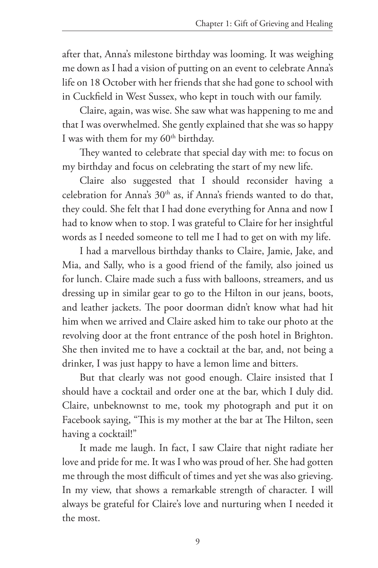after that, Anna's milestone birthday was looming. It was weighing me down as I had a vision of putting on an event to celebrate Anna's life on 18 October with her friends that she had gone to school with in Cuckfield in West Sussex, who kept in touch with our family.

Claire, again, was wise. She saw what was happening to me and that I was overwhelmed. She gently explained that she was so happy I was with them for my  $60<sup>th</sup>$  birthday.

They wanted to celebrate that special day with me: to focus on my birthday and focus on celebrating the start of my new life.

Claire also suggested that I should reconsider having a celebration for Anna's 30<sup>th</sup> as, if Anna's friends wanted to do that, they could. She felt that I had done everything for Anna and now I had to know when to stop. I was grateful to Claire for her insightful words as I needed someone to tell me I had to get on with my life.

I had a marvellous birthday thanks to Claire, Jamie, Jake, and Mia, and Sally, who is a good friend of the family, also joined us for lunch. Claire made such a fuss with balloons, streamers, and us dressing up in similar gear to go to the Hilton in our jeans, boots, and leather jackets. The poor doorman didn't know what had hit him when we arrived and Claire asked him to take our photo at the revolving door at the front entrance of the posh hotel in Brighton. She then invited me to have a cocktail at the bar, and, not being a drinker, I was just happy to have a lemon lime and bitters.

But that clearly was not good enough. Claire insisted that I should have a cocktail and order one at the bar, which I duly did. Claire, unbeknownst to me, took my photograph and put it on Facebook saying, "This is my mother at the bar at The Hilton, seen having a cocktail!"

It made me laugh. In fact, I saw Claire that night radiate her love and pride for me. It was I who was proud of her. She had gotten me through the most difficult of times and yet she was also grieving. In my view, that shows a remarkable strength of character. I will always be grateful for Claire's love and nurturing when I needed it the most.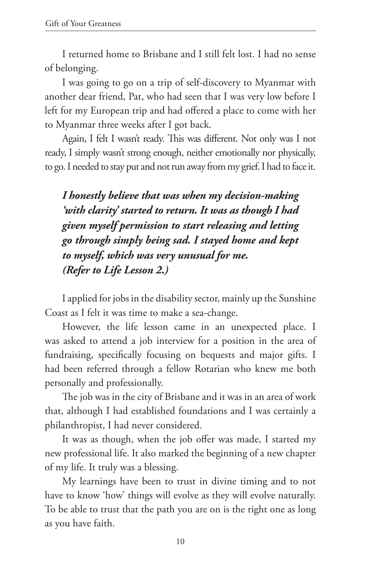I returned home to Brisbane and I still felt lost. I had no sense of belonging.

I was going to go on a trip of self-discovery to Myanmar with another dear friend, Pat, who had seen that I was very low before I left for my European trip and had offered a place to come with her to Myanmar three weeks after I got back.

Again, I felt I wasn't ready. This was different. Not only was I not ready, I simply wasn't strong enough, neither emotionally nor physically, to go. I needed to stay put and not run away from my grief. I had to face it.

*I honestly believe that was when my decision-making 'with clarity' started to return. It was as though I had given myself permission to start releasing and letting go through simply being sad. I stayed home and kept to myself, which was very unusual for me. (Refer to Life Lesson 2.)*

I applied for jobs in the disability sector, mainly up the Sunshine Coast as I felt it was time to make a sea-change.

However, the life lesson came in an unexpected place. I was asked to attend a job interview for a position in the area of fundraising, specifically focusing on bequests and major gifts. I had been referred through a fellow Rotarian who knew me both personally and professionally.

The job was in the city of Brisbane and it was in an area of work that, although I had established foundations and I was certainly a philanthropist, I had never considered.

It was as though, when the job offer was made, I started my new professional life. It also marked the beginning of a new chapter of my life. It truly was a blessing.

My learnings have been to trust in divine timing and to not have to know 'how' things will evolve as they will evolve naturally. To be able to trust that the path you are on is the right one as long as you have faith.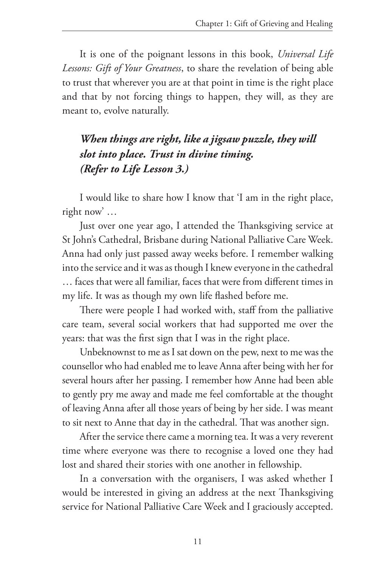It is one of the poignant lessons in this book, *Universal Life Lessons: Gift of Your Greatness*, to share the revelation of being able to trust that wherever you are at that point in time is the right place and that by not forcing things to happen, they will, as they are meant to, evolve naturally.

# *When things are right, like a jigsaw puzzle, they will slot into place. Trust in divine timing. (Refer to Life Lesson 3.)*

I would like to share how I know that 'I am in the right place, right now' …

Just over one year ago, I attended the Thanksgiving service at St John's Cathedral, Brisbane during National Palliative Care Week. Anna had only just passed away weeks before. I remember walking into the service and it was as though I knew everyone in the cathedral

… faces that were all familiar, faces that were from different times in my life. It was as though my own life flashed before me.

There were people I had worked with, staff from the palliative care team, several social workers that had supported me over the years: that was the first sign that I was in the right place.

Unbeknownst to me as I sat down on the pew, next to me was the counsellor who had enabled me to leave Anna after being with her for several hours after her passing. I remember how Anne had been able to gently pry me away and made me feel comfortable at the thought of leaving Anna after all those years of being by her side. I was meant to sit next to Anne that day in the cathedral. That was another sign.

After the service there came a morning tea. It was a very reverent time where everyone was there to recognise a loved one they had lost and shared their stories with one another in fellowship.

In a conversation with the organisers, I was asked whether I would be interested in giving an address at the next Thanksgiving service for National Palliative Care Week and I graciously accepted.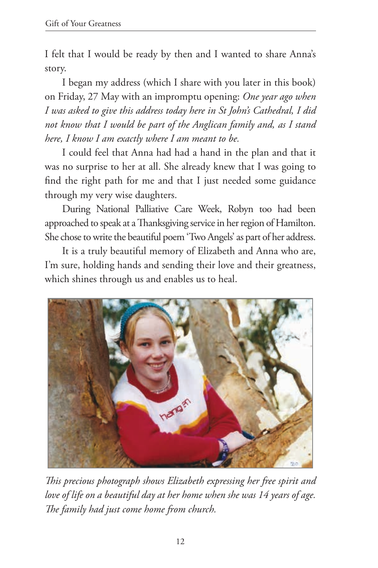I felt that I would be ready by then and I wanted to share Anna's story.

I began my address (which I share with you later in this book) on Friday, 27 May with an impromptu opening: *One year ago when I was asked to give this address today here in St John's Cathedral, I did not know that I would be part of the Anglican family and, as I stand here, I know I am exactly where I am meant to be.*

I could feel that Anna had had a hand in the plan and that it was no surprise to her at all. She already knew that I was going to find the right path for me and that I just needed some guidance through my very wise daughters.

During National Palliative Care Week, Robyn too had been approached to speak at a Thanksgiving service in her region of Hamilton. She chose to write the beautiful poem 'Two Angels' as part of her address.

It is a truly beautiful memory of Elizabeth and Anna who are, I'm sure, holding hands and sending their love and their greatness, which shines through us and enables us to heal.



*This precious photograph shows Elizabeth expressing her free spirit and love of life on a beautiful day at her home when she was 14 years of age. The family had just come home from church.*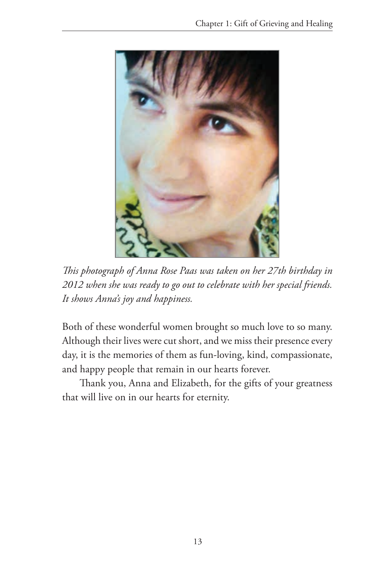

*This photograph of Anna Rose Paas was taken on her 27th birthday in 2012 when she was ready to go out to celebrate with her special friends. It shows Anna's joy and happiness.*

Both of these wonderful women brought so much love to so many. Although their lives were cut short, and we miss their presence every day, it is the memories of them as fun-loving, kind, compassionate, and happy people that remain in our hearts forever.

Thank you, Anna and Elizabeth, for the gifts of your greatness that will live on in our hearts for eternity.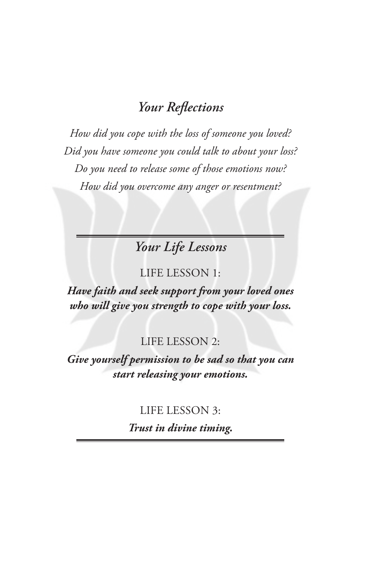# *Your Reflections*

*How did you cope with the loss of someone you loved? Did you have someone you could talk to about your loss? Do you need to release some of those emotions now? How did you overcome any anger or resentment?* 

*Your Life Lessons*

#### LIFE LESSON 1:

*Have faith and seek support from your loved ones who will give you strength to cope with your loss.*

### LIFE LESSON 2:

*Give yourself permission to be sad so that you can start releasing your emotions.*

#### LIFE LESSON 3:

*Trust in divine timing.*